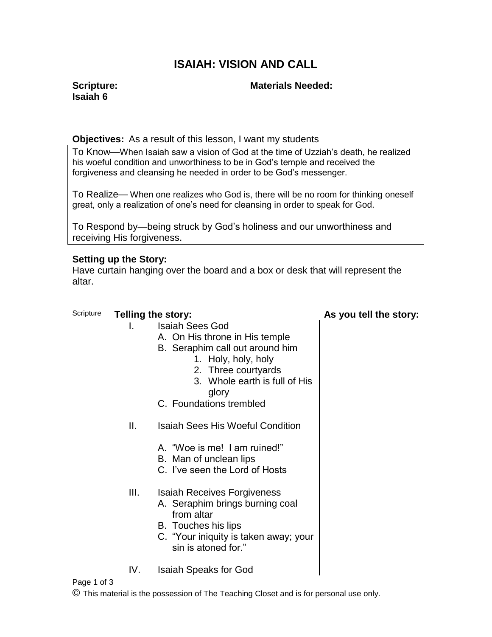# **ISAIAH: VISION AND CALL**

## **Scripture: Isaiah 6**

# **Materials Needed:**

## **Objectives:** As a result of this lesson, I want my students

To Know—When Isaiah saw a vision of God at the time of Uzziah's death, he realized his woeful condition and unworthiness to be in God's temple and received the forgiveness and cleansing he needed in order to be God's messenger.

To Realize— When one realizes who God is, there will be no room for thinking oneself great, only a realization of one's need for cleansing in order to speak for God.

To Respond by—being struck by God's holiness and our unworthiness and receiving His forgiveness.

## **Setting up the Story:**

Have curtain hanging over the board and a box or desk that will represent the altar.

## Scripture **Telling the story: As you tell the story:**

- I. Isaiah Sees God
	- A. On His throne in His temple
	- B. Seraphim call out around him
		- 1. Holy, holy, holy
		- 2. Three courtyards
		- 3. Whole earth is full of His glory
	- C. Foundations trembled
- II. Isaiah Sees His Woeful Condition
	- A. "Woe is me! I am ruined!"
	- B. Man of unclean lips
	- C. I've seen the Lord of Hosts
- III. Isaiah Receives Forgiveness
	- A. Seraphim brings burning coal from altar
	- B. Touches his lips
	- C. "Your iniquity is taken away; your sin is atoned for."
- IV. Isaiah Speaks for God

### Page 1 of 3

© This material is the possession of The Teaching Closet and is for personal use only.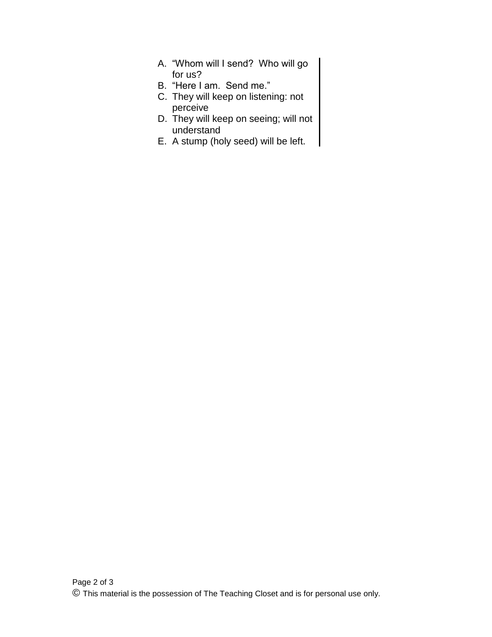- A. "Whom will I send? Who will go for us?
- B. "Here I am. Send me."
- C. They will keep on listening: not perceive
- D. They will keep on seeing; will not understand
- E. A stump (holy seed) will be left.